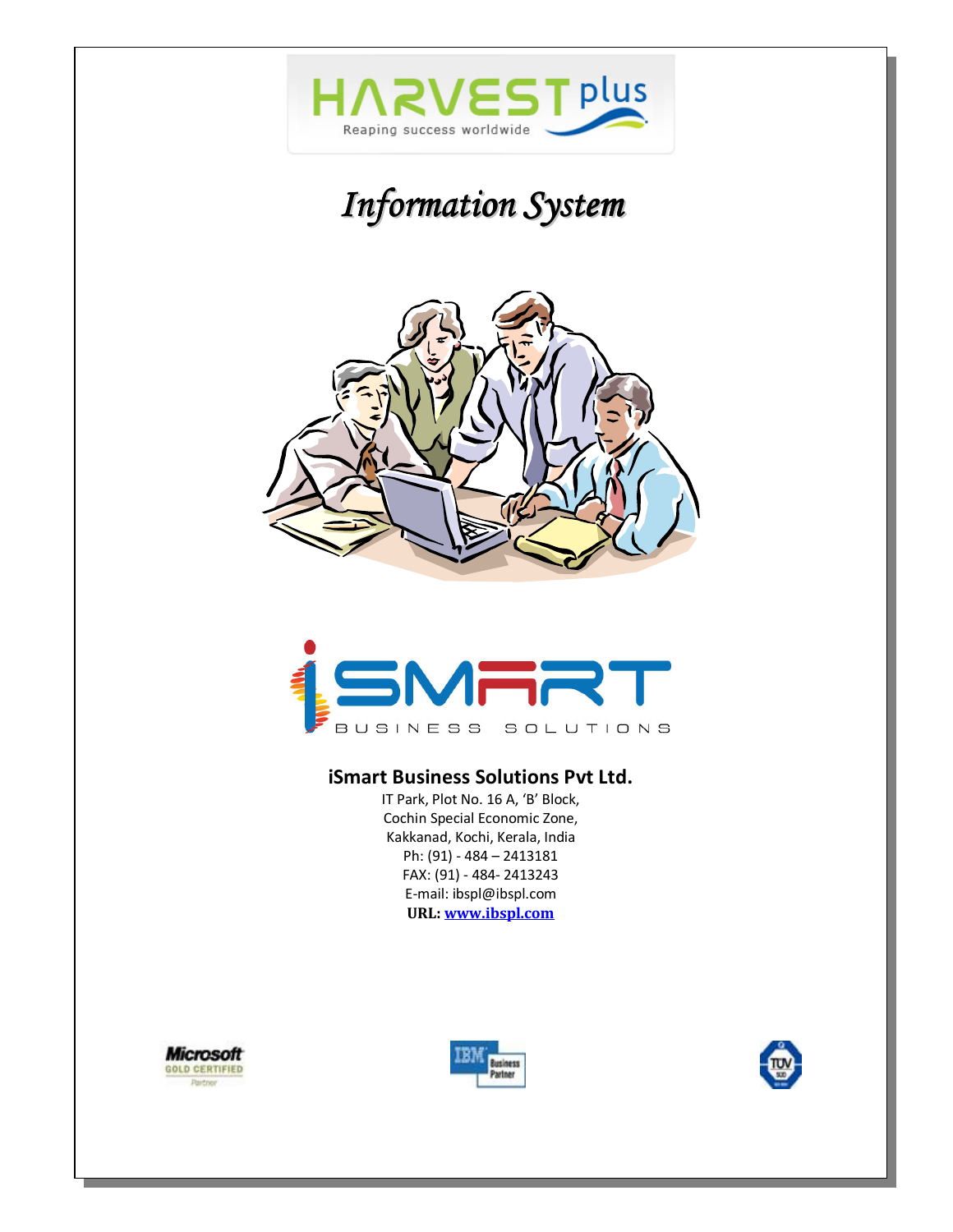







# **iSmart Business Solutions Pvt Ltd.**

IT Park, Plot No. 16 A, 'B' Block, Cochin Special Economic Zone, Kakkanad, Kochi, Kerala, India Ph: (91) - 484 – 2413181 FAX: (91) - 484- 2413243 E-mail: ibspl@ibspl.com **URL: www.ibspl.com**



 $\overline{\phantom{0}}$ 



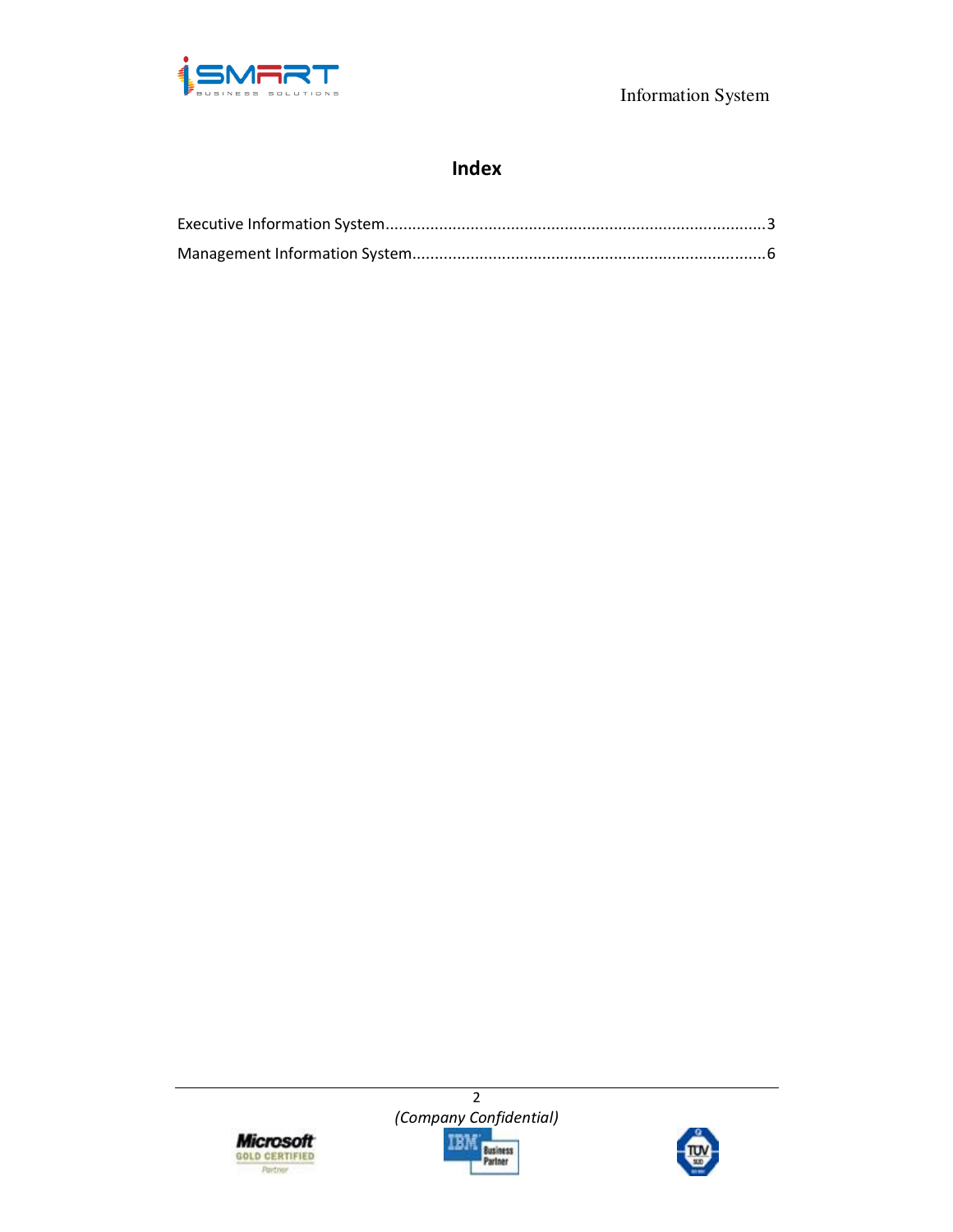

# **Index**





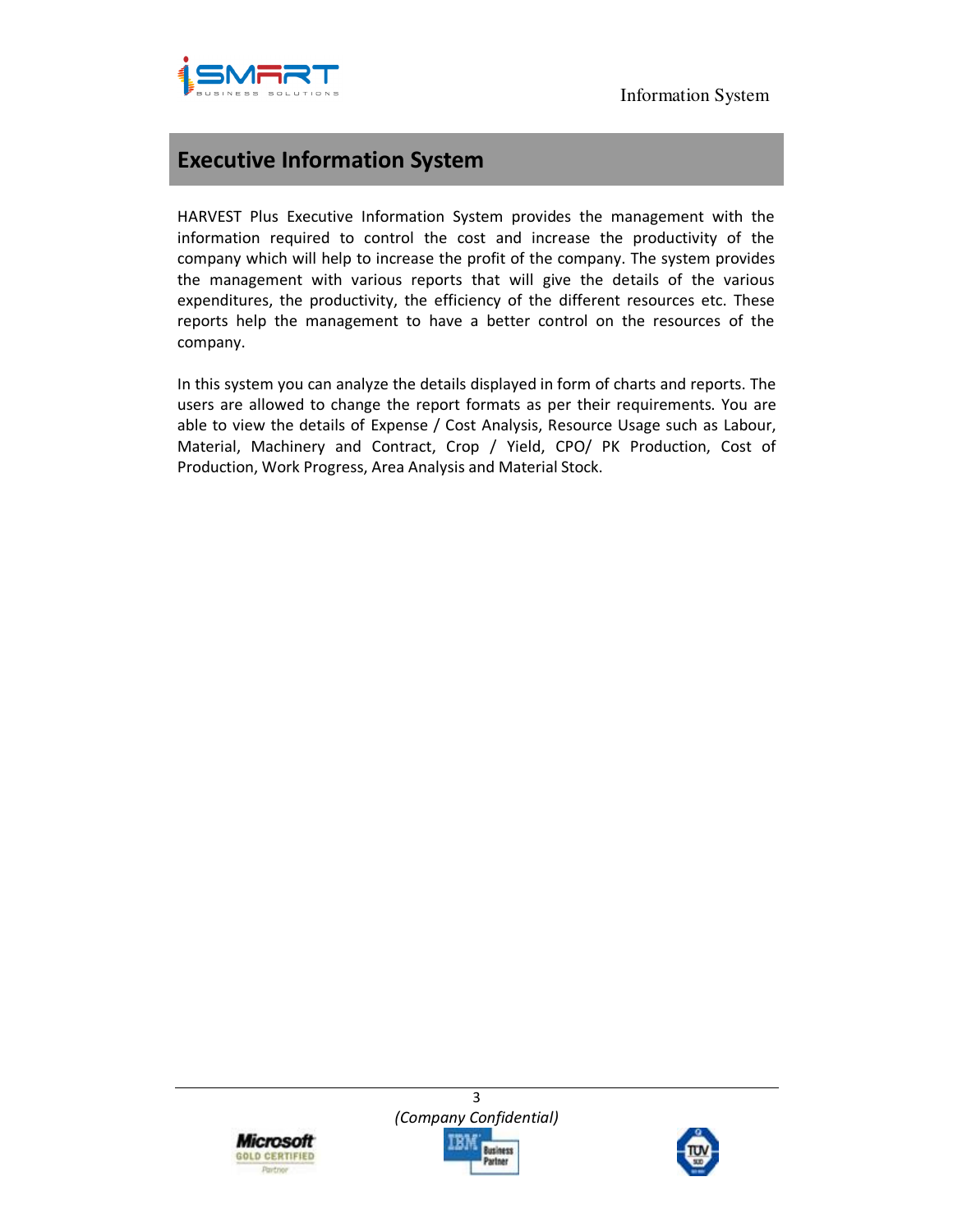



# **Executive Information System**

HARVEST Plus Executive Information System provides the management with the information required to control the cost and increase the productivity of the company which will help to increase the profit of the company. The system provides the management with various reports that will give the details of the various expenditures, the productivity, the efficiency of the different resources etc. These reports help the management to have a better control on the resources of the company.

In this system you can analyze the details displayed in form of charts and reports. The users are allowed to change the report formats as per their requirements. You are able to view the details of Expense / Cost Analysis, Resource Usage such as Labour, Material, Machinery and Contract, Crop / Yield, CPO/ PK Production, Cost of Production, Work Progress, Area Analysis and Material Stock.





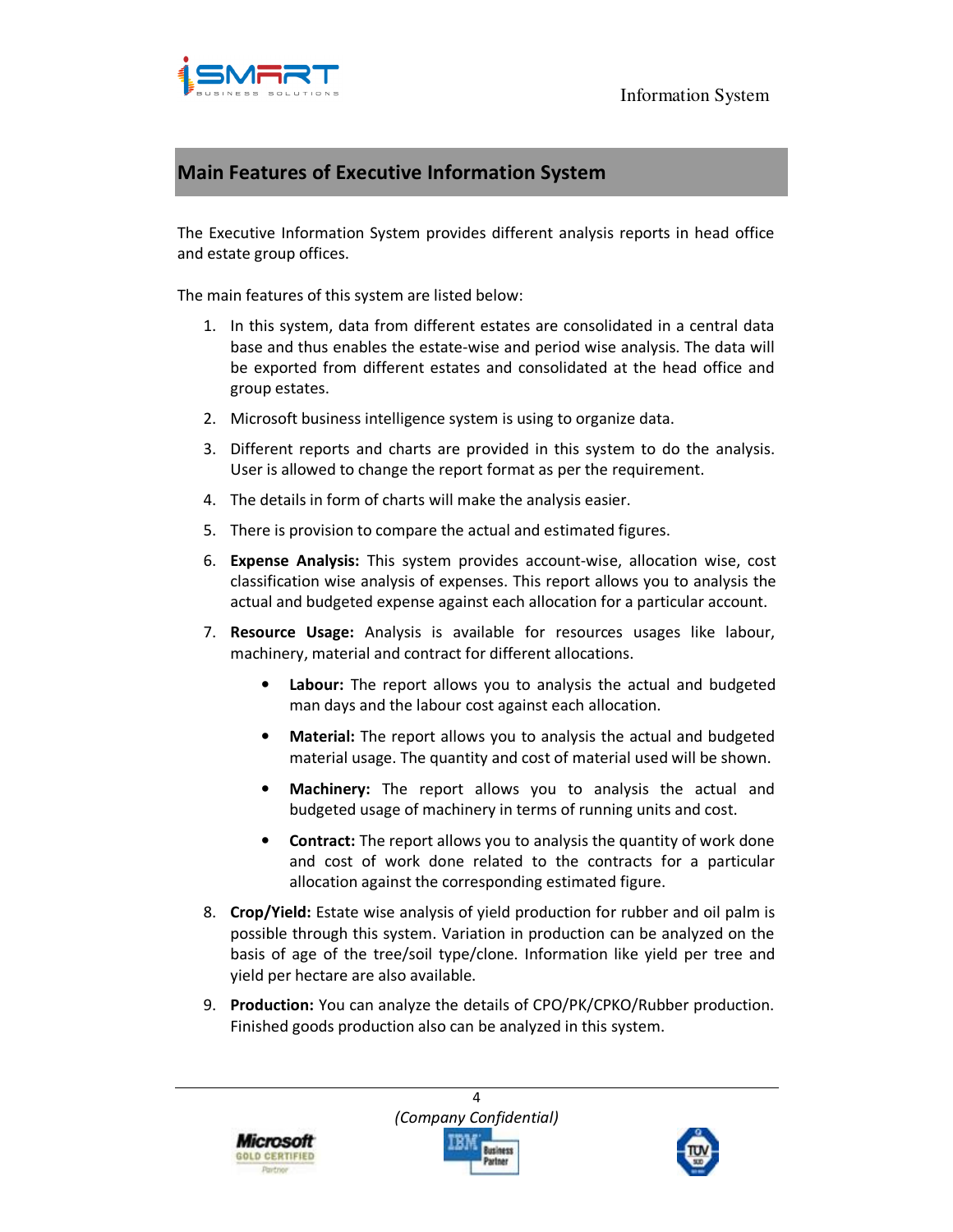

# **Main Features of Executive Information System**

The Executive Information System provides different analysis reports in head office and estate group offices.

The main features of this system are listed below:

- 1. In this system, data from different estates are consolidated in a central data base and thus enables the estate-wise and period wise analysis. The data will be exported from different estates and consolidated at the head office and group estates.
- 2. Microsoft business intelligence system is using to organize data.
- 3. Different reports and charts are provided in this system to do the analysis. User is allowed to change the report format as per the requirement.
- 4. The details in form of charts will make the analysis easier.
- 5. There is provision to compare the actual and estimated figures.
- 6. **Expense Analysis:** This system provides account-wise, allocation wise, cost classification wise analysis of expenses. This report allows you to analysis the actual and budgeted expense against each allocation for a particular account.
- 7. **Resource Usage:** Analysis is available for resources usages like labour, machinery, material and contract for different allocations.
	- Labour: The report allows you to analysis the actual and budgeted man days and the labour cost against each allocation.
	- **Material:** The report allows you to analysis the actual and budgeted material usage. The quantity and cost of material used will be shown.
	- **Machinery:** The report allows you to analysis the actual and budgeted usage of machinery in terms of running units and cost.
	- **Contract:** The report allows you to analysis the quantity of work done and cost of work done related to the contracts for a particular allocation against the corresponding estimated figure.
- 8. **Crop/Yield:** Estate wise analysis of yield production for rubber and oil palm is possible through this system. Variation in production can be analyzed on the basis of age of the tree/soil type/clone. Information like yield per tree and yield per hectare are also available.
- 9. **Production:** You can analyze the details of CPO/PK/CPKO/Rubber production. Finished goods production also can be analyzed in this system.



*(Company Confidential)*  Business

 $\Delta$ 

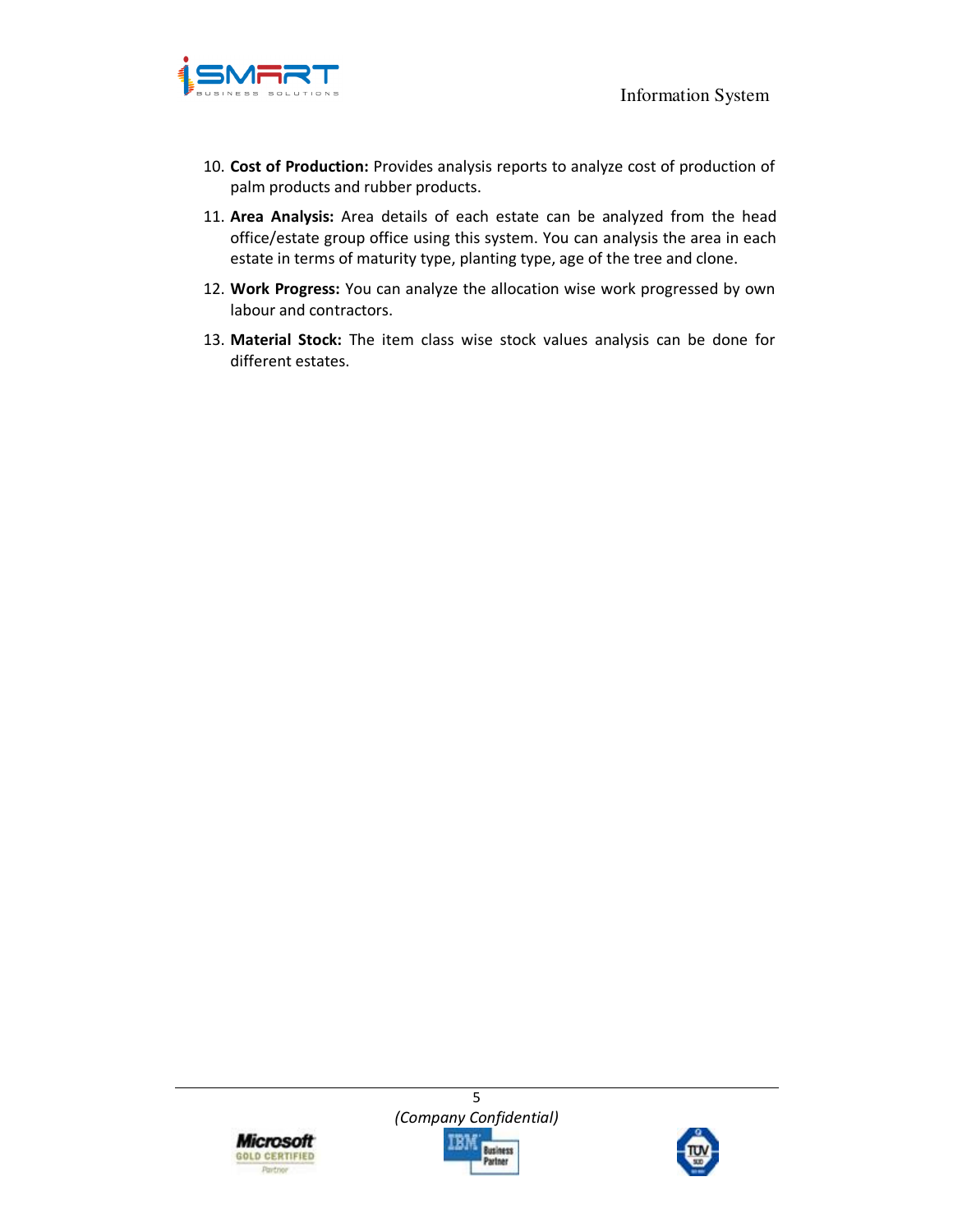

- 10. **Cost of Production:** Provides analysis reports to analyze cost of production of palm products and rubber products.
- 11. **Area Analysis:** Area details of each estate can be analyzed from the head office/estate group office using this system. You can analysis the area in each estate in terms of maturity type, planting type, age of the tree and clone.
- 12. **Work Progress:** You can analyze the allocation wise work progressed by own labour and contractors.
- 13. **Material Stock:** The item class wise stock values analysis can be done for different estates.



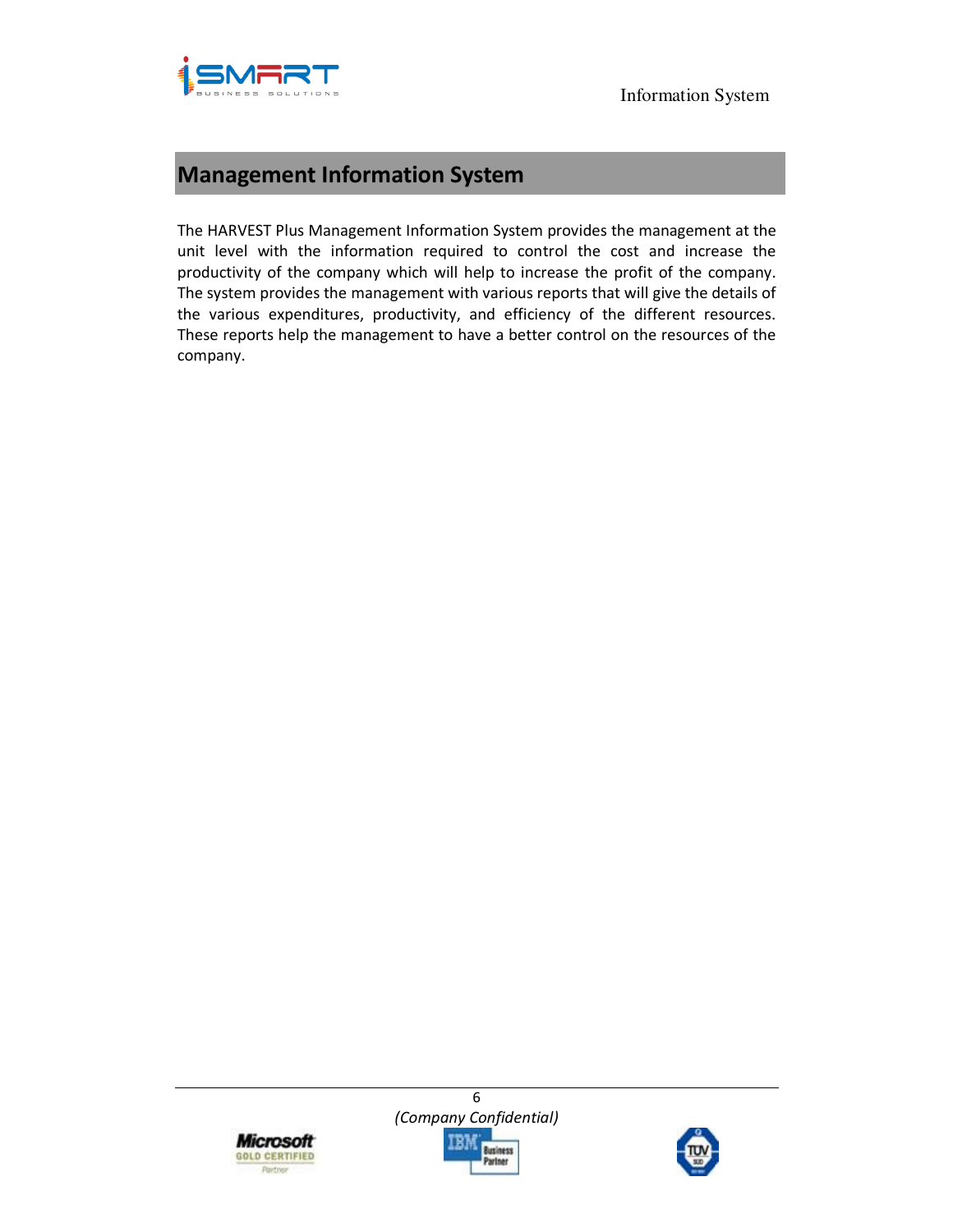



# **Management Information System**

The HARVEST Plus Management Information System provides the management at the unit level with the information required to control the cost and increase the productivity of the company which will help to increase the profit of the company. The system provides the management with various reports that will give the details of the various expenditures, productivity, and efficiency of the different resources. These reports help the management to have a better control on the resources of the company.



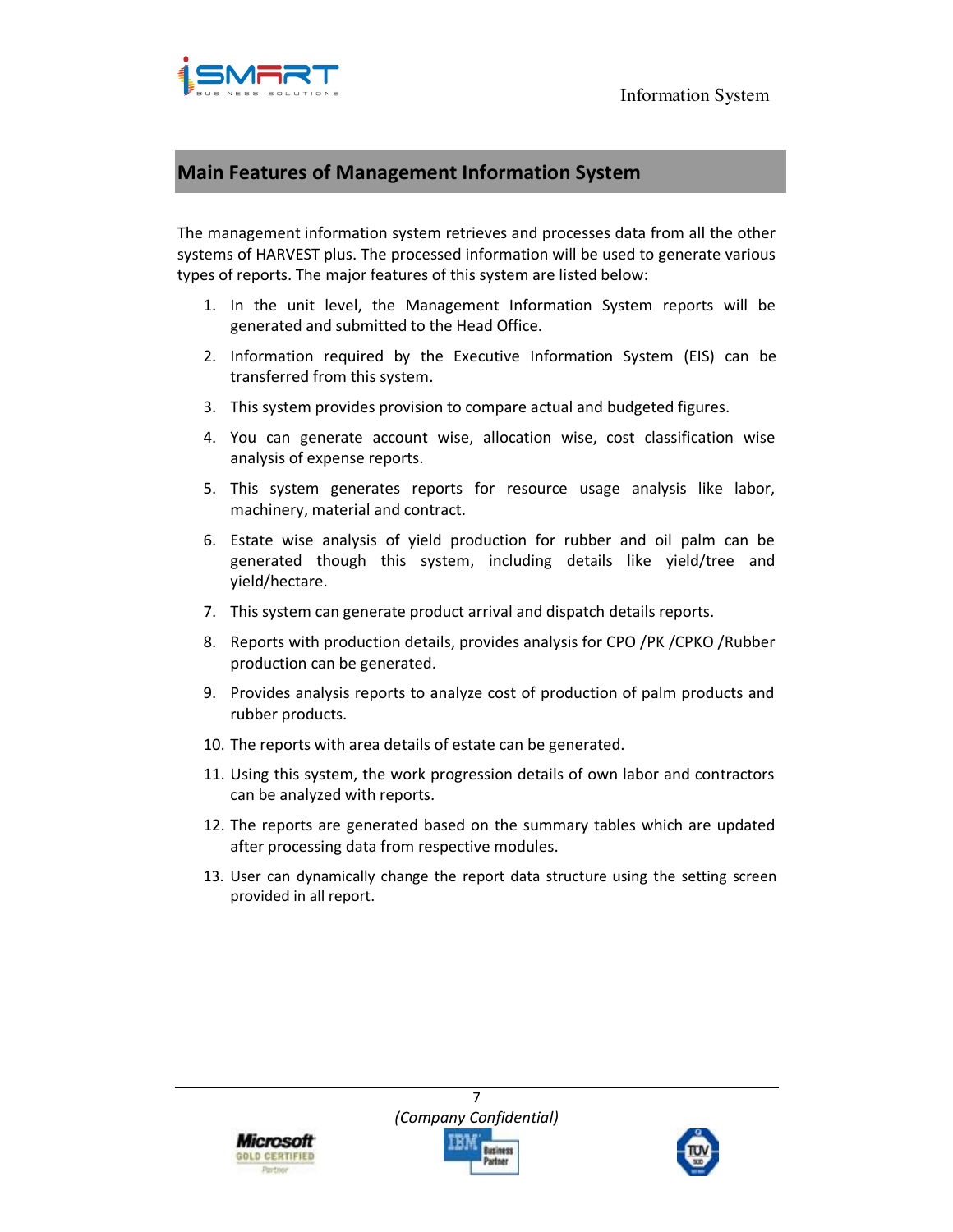

# **Main Features of Management Information System**

The management information system retrieves and processes data from all the other systems of HARVEST plus. The processed information will be used to generate various types of reports. The major features of this system are listed below:

- 1. In the unit level, the Management Information System reports will be generated and submitted to the Head Office.
- 2. Information required by the Executive Information System (EIS) can be transferred from this system.
- 3. This system provides provision to compare actual and budgeted figures.
- 4. You can generate account wise, allocation wise, cost classification wise analysis of expense reports.
- 5. This system generates reports for resource usage analysis like labor, machinery, material and contract.
- 6. Estate wise analysis of yield production for rubber and oil palm can be generated though this system, including details like yield/tree and yield/hectare.
- 7. This system can generate product arrival and dispatch details reports.
- 8. Reports with production details, provides analysis for CPO /PK /CPKO /Rubber production can be generated.
- 9. Provides analysis reports to analyze cost of production of palm products and rubber products.
- 10. The reports with area details of estate can be generated.
- 11. Using this system, the work progression details of own labor and contractors can be analyzed with reports.
- 12. The reports are generated based on the summary tables which are updated after processing data from respective modules.
- 13. User can dynamically change the report data structure using the setting screen provided in all report.



7 *(Company Confidential)*  Business

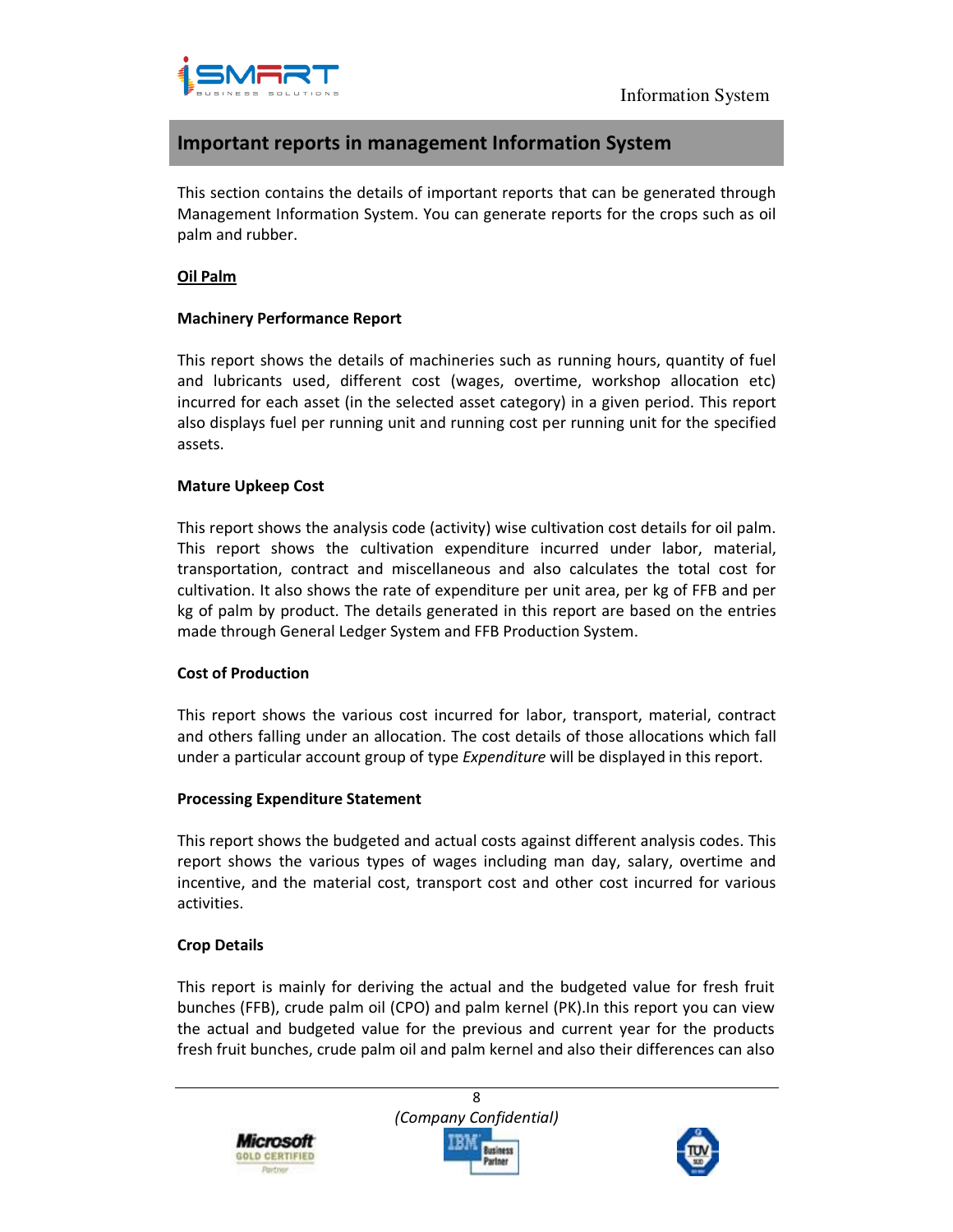

## **Important reports in management Information System**

This section contains the details of important reports that can be generated through Management Information System. You can generate reports for the crops such as oil palm and rubber.

#### **Oil Palm**

#### **Machinery Performance Report**

This report shows the details of machineries such as running hours, quantity of fuel and lubricants used, different cost (wages, overtime, workshop allocation etc) incurred for each asset (in the selected asset category) in a given period. This report also displays fuel per running unit and running cost per running unit for the specified assets.

### **Mature Upkeep Cost**

This report shows the analysis code (activity) wise cultivation cost details for oil palm. This report shows the cultivation expenditure incurred under labor, material, transportation, contract and miscellaneous and also calculates the total cost for cultivation. It also shows the rate of expenditure per unit area, per kg of FFB and per kg of palm by product. The details generated in this report are based on the entries made through General Ledger System and FFB Production System.

#### **Cost of Production**

This report shows the various cost incurred for labor, transport, material, contract and others falling under an allocation. The cost details of those allocations which fall under a particular account group of type *Expenditure* will be displayed in this report.

## **Processing Expenditure Statement**

This report shows the budgeted and actual costs against different analysis codes. This report shows the various types of wages including man day, salary, overtime and incentive, and the material cost, transport cost and other cost incurred for various activities.

## **Crop Details**

This report is mainly for deriving the actual and the budgeted value for fresh fruit bunches (FFB), crude palm oil (CPO) and palm kernel (PK).In this report you can view the actual and budgeted value for the previous and current year for the products fresh fruit bunches, crude palm oil and palm kernel and also their differences can also

8 *(Company Confidential)*  Microsofi lusiness GOLD CERTIFIED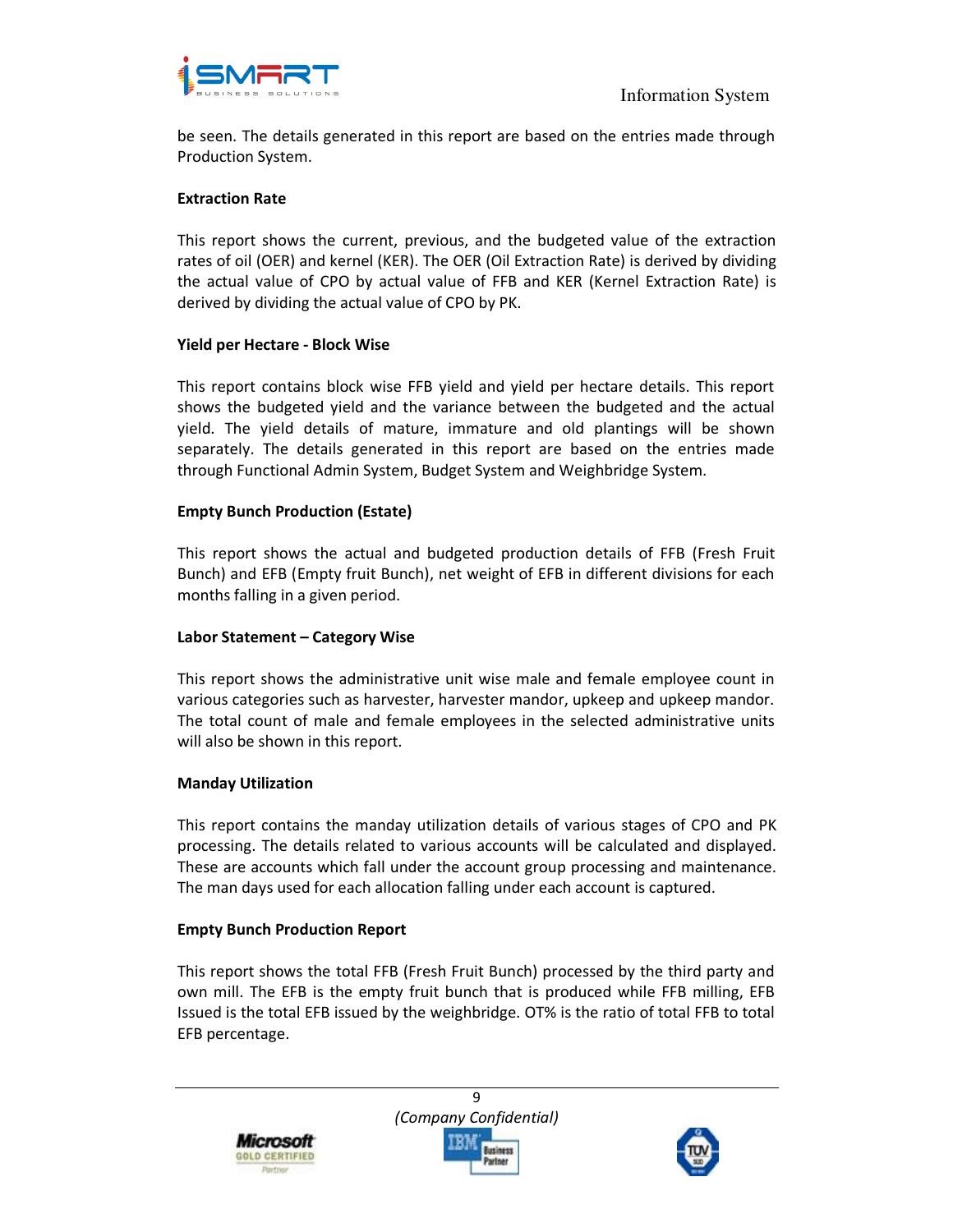

be seen. The details generated in this report are based on the entries made through Production System.

#### **Extraction Rate**

This report shows the current, previous, and the budgeted value of the extraction rates of oil (OER) and kernel (KER). The OER (Oil Extraction Rate) is derived by dividing the actual value of CPO by actual value of FFB and KER (Kernel Extraction Rate) is derived by dividing the actual value of CPO by PK.

#### **Yield per Hectare - Block Wise**

This report contains block wise FFB yield and yield per hectare details. This report shows the budgeted yield and the variance between the budgeted and the actual yield. The yield details of mature, immature and old plantings will be shown separately. The details generated in this report are based on the entries made through Functional Admin System, Budget System and Weighbridge System.

#### **Empty Bunch Production (Estate)**

This report shows the actual and budgeted production details of FFB (Fresh Fruit Bunch) and EFB (Empty fruit Bunch), net weight of EFB in different divisions for each months falling in a given period.

#### **Labor Statement – Category Wise**

This report shows the administrative unit wise male and female employee count in various categories such as harvester, harvester mandor, upkeep and upkeep mandor. The total count of male and female employees in the selected administrative units will also be shown in this report.

#### **Manday Utilization**

This report contains the manday utilization details of various stages of CPO and PK processing. The details related to various accounts will be calculated and displayed. These are accounts which fall under the account group processing and maintenance. The man days used for each allocation falling under each account is captured.

#### **Empty Bunch Production Report**

This report shows the total FFB (Fresh Fruit Bunch) processed by the third party and own mill. The EFB is the empty fruit bunch that is produced while FFB milling, EFB Issued is the total EFB issued by the weighbridge. OT% is the ratio of total FFB to total EFB percentage.

9

Microsofi **GOLD CERTIFIED**  *(Company Confidential)*  usiness

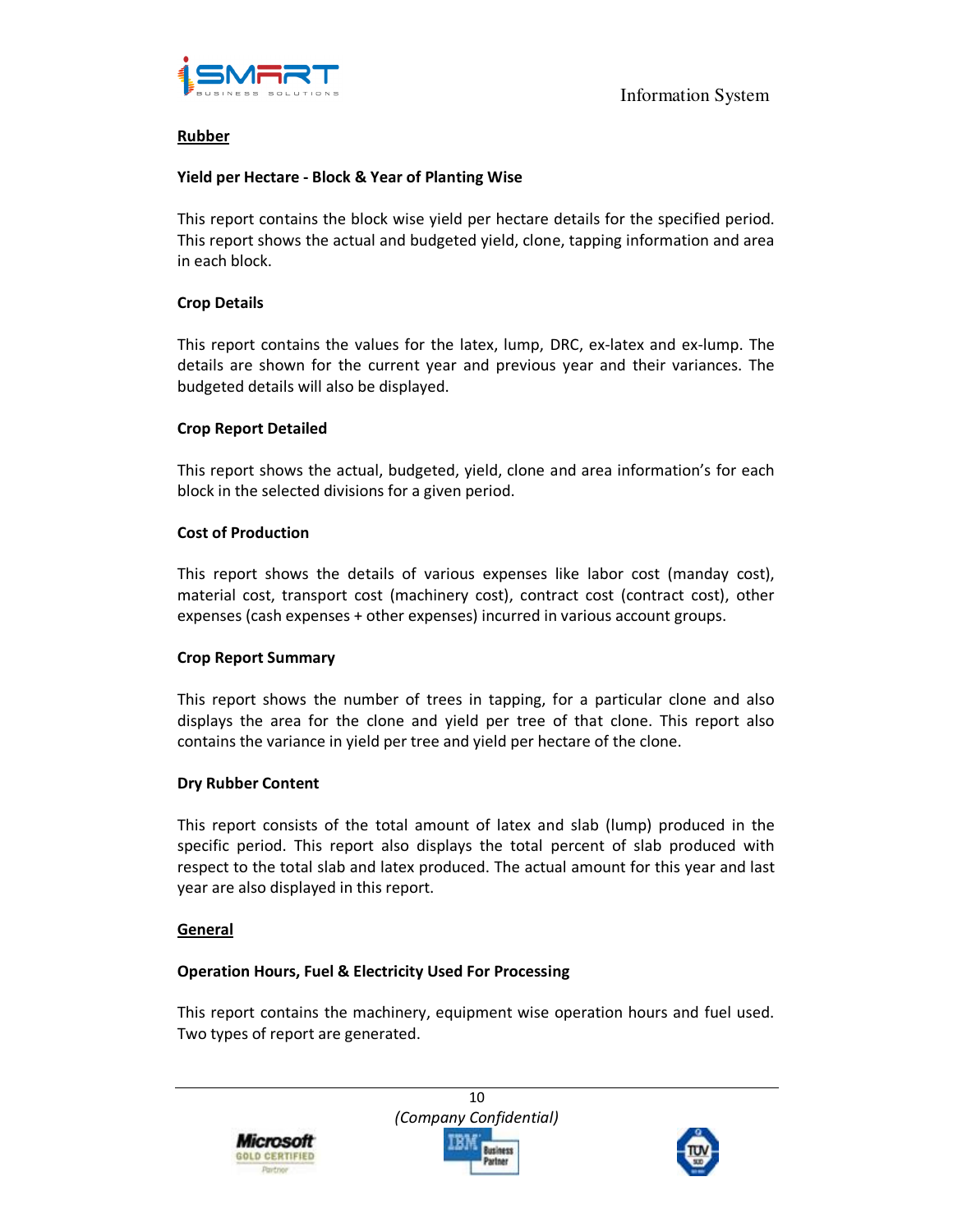

### **Rubber**

#### **Yield per Hectare - Block & Year of Planting Wise**

This report contains the block wise yield per hectare details for the specified period. This report shows the actual and budgeted yield, clone, tapping information and area in each block.

#### **Crop Details**

This report contains the values for the latex, lump, DRC, ex-latex and ex-lump. The details are shown for the current year and previous year and their variances. The budgeted details will also be displayed.

### **Crop Report Detailed**

This report shows the actual, budgeted, yield, clone and area information's for each block in the selected divisions for a given period.

#### **Cost of Production**

This report shows the details of various expenses like labor cost (manday cost), material cost, transport cost (machinery cost), contract cost (contract cost), other expenses (cash expenses + other expenses) incurred in various account groups.

#### **Crop Report Summary**

This report shows the number of trees in tapping, for a particular clone and also displays the area for the clone and yield per tree of that clone. This report also contains the variance in yield per tree and yield per hectare of the clone.

#### **Dry Rubber Content**

This report consists of the total amount of latex and slab (lump) produced in the specific period. This report also displays the total percent of slab produced with respect to the total slab and latex produced. The actual amount for this year and last year are also displayed in this report.

#### **General**

#### **Operation Hours, Fuel & Electricity Used For Processing**

This report contains the machinery, equipment wise operation hours and fuel used. Two types of report are generated.





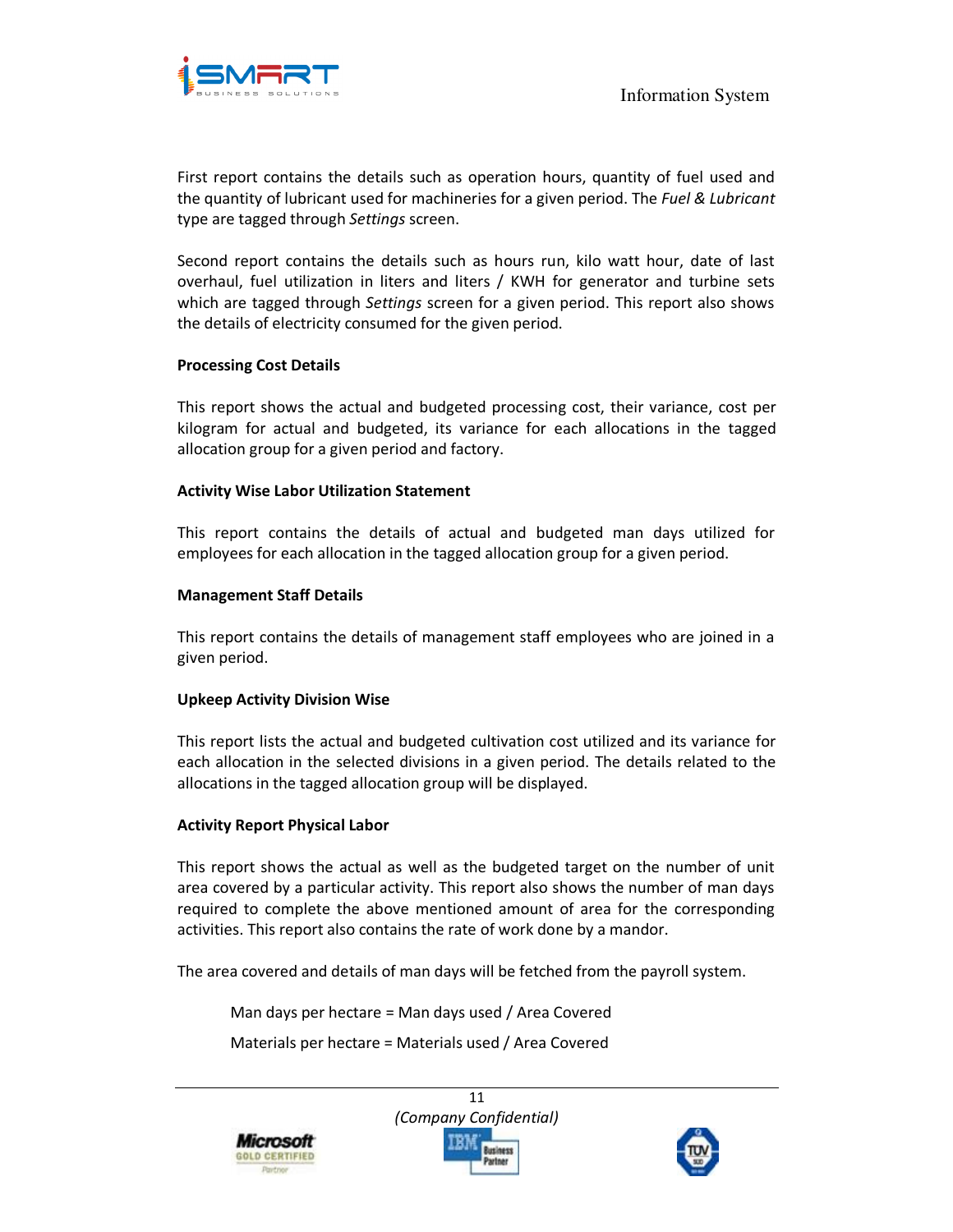

First report contains the details such as operation hours, quantity of fuel used and the quantity of lubricant used for machineries for a given period. The *Fuel & Lubricant* type are tagged through *Settings* screen.

Second report contains the details such as hours run, kilo watt hour, date of last overhaul, fuel utilization in liters and liters / KWH for generator and turbine sets which are tagged through *Settings* screen for a given period. This report also shows the details of electricity consumed for the given period.

#### **Processing Cost Details**

This report shows the actual and budgeted processing cost, their variance, cost per kilogram for actual and budgeted, its variance for each allocations in the tagged allocation group for a given period and factory.

#### **Activity Wise Labor Utilization Statement**

This report contains the details of actual and budgeted man days utilized for employees for each allocation in the tagged allocation group for a given period.

### **Management Staff Details**

This report contains the details of management staff employees who are joined in a given period.

#### **Upkeep Activity Division Wise**

This report lists the actual and budgeted cultivation cost utilized and its variance for each allocation in the selected divisions in a given period. The details related to the allocations in the tagged allocation group will be displayed.

#### **Activity Report Physical Labor**

This report shows the actual as well as the budgeted target on the number of unit area covered by a particular activity. This report also shows the number of man days required to complete the above mentioned amount of area for the corresponding activities. This report also contains the rate of work done by a mandor.

The area covered and details of man days will be fetched from the payroll system.

Man days per hectare = Man days used / Area Covered

Materials per hectare = Materials used / Area Covered





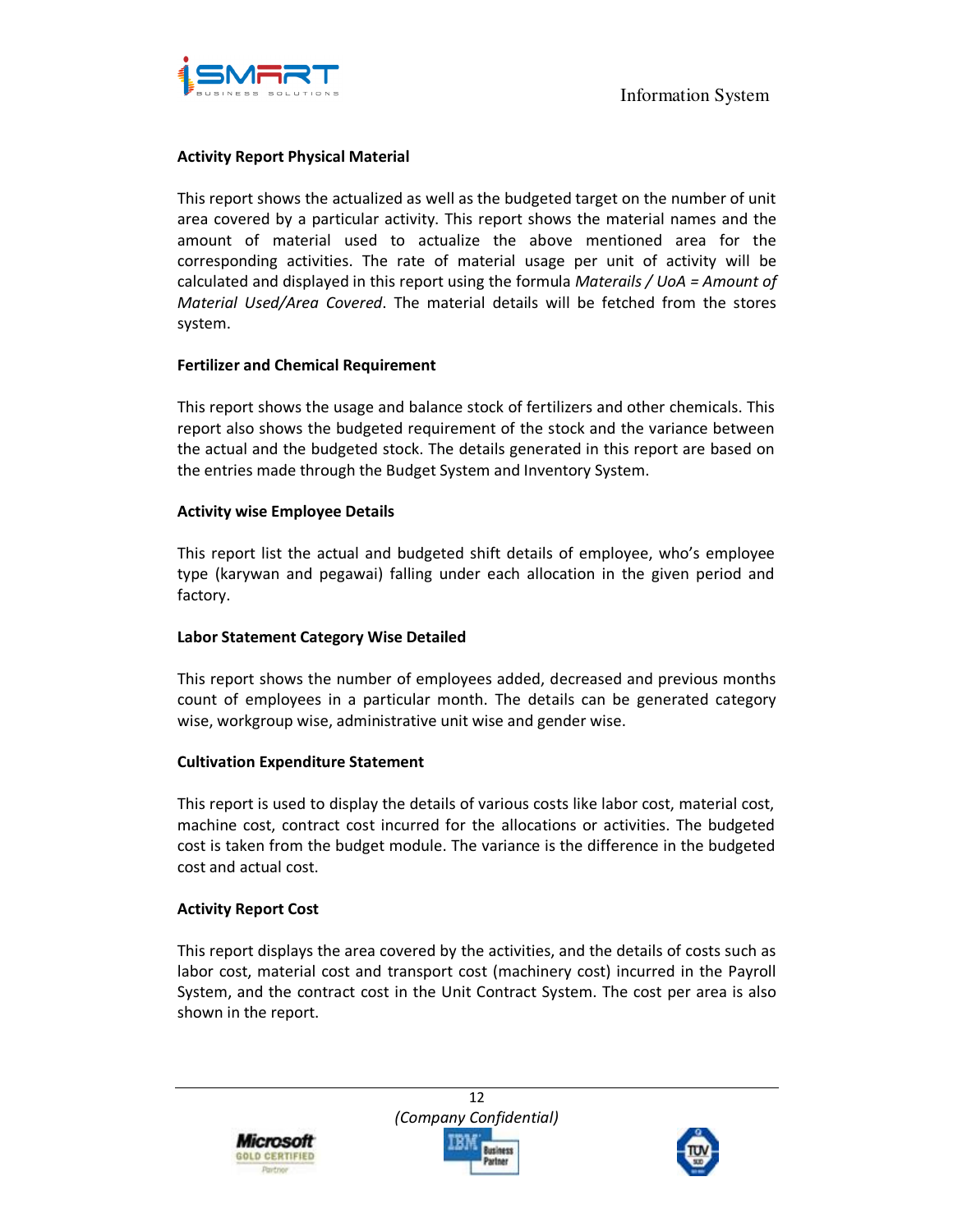

#### **Activity Report Physical Material**

This report shows the actualized as well as the budgeted target on the number of unit area covered by a particular activity. This report shows the material names and the amount of material used to actualize the above mentioned area for the corresponding activities. The rate of material usage per unit of activity will be calculated and displayed in this report using the formula *Materails / UoA = Amount of Material Used/Area Covered*. The material details will be fetched from the stores system.

#### **Fertilizer and Chemical Requirement**

This report shows the usage and balance stock of fertilizers and other chemicals. This report also shows the budgeted requirement of the stock and the variance between the actual and the budgeted stock. The details generated in this report are based on the entries made through the Budget System and Inventory System.

#### **Activity wise Employee Details**

This report list the actual and budgeted shift details of employee, who's employee type (karywan and pegawai) falling under each allocation in the given period and factory.

#### **Labor Statement Category Wise Detailed**

This report shows the number of employees added, decreased and previous months count of employees in a particular month. The details can be generated category wise, workgroup wise, administrative unit wise and gender wise.

#### **Cultivation Expenditure Statement**

This report is used to display the details of various costs like labor cost, material cost, machine cost, contract cost incurred for the allocations or activities. The budgeted cost is taken from the budget module. The variance is the difference in the budgeted cost and actual cost.

#### **Activity Report Cost**

This report displays the area covered by the activities, and the details of costs such as labor cost, material cost and transport cost (machinery cost) incurred in the Payroll System, and the contract cost in the Unit Contract System. The cost per area is also shown in the report.

Microsoft **GOLD CERTIFIED** 

12 *(Company Confidential)*  lusiness